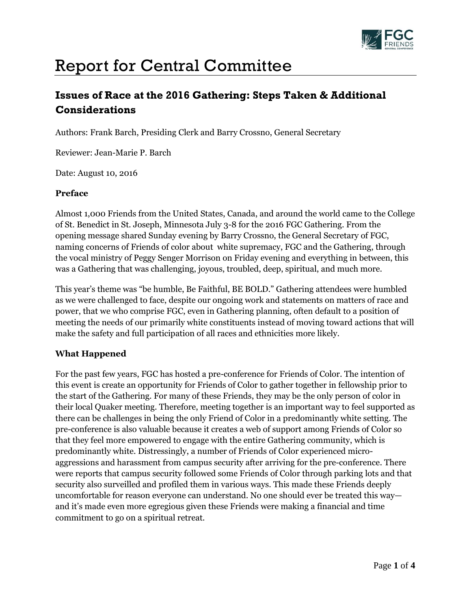

# Report for Central Committee

## **Issues of Race at the 2016 Gathering: Steps Taken & Additional Considerations**

Authors: Frank Barch, Presiding Clerk and Barry Crossno, General Secretary

Reviewer: Jean-Marie P. Barch

Date: August 10, 2016

#### **Preface**

Almost 1,000 Friends from the United States, Canada, and around the world came to the College of St. Benedict in St. Joseph, Minnesota July 3-8 for the 2016 FGC Gathering. From the opening message shared Sunday evening by Barry Crossno, the General Secretary of FGC, naming concerns of Friends of color about white supremacy, FGC and the Gathering, through the vocal ministry of Peggy Senger Morrison on Friday evening and everything in between, this was a Gathering that was challenging, joyous, troubled, deep, spiritual, and much more.

This year's theme was "be humble, Be Faithful, BE BOLD." Gathering attendees were humbled as we were challenged to face, despite our ongoing work and statements on matters of race and power, that we who comprise FGC, even in Gathering planning, often default to a position of meeting the needs of our primarily white constituents instead of moving toward actions that will make the safety and full participation of all races and ethnicities more likely.

#### **What Happened**

For the past few years, FGC has hosted a pre-conference for Friends of Color. The intention of this event is create an opportunity for Friends of Color to gather together in fellowship prior to the start of the Gathering. For many of these Friends, they may be the only person of color in their local Quaker meeting. Therefore, meeting together is an important way to feel supported as there can be challenges in being the only Friend of Color in a predominantly white setting. The pre-conference is also valuable because it creates a web of support among Friends of Color so that they feel more empowered to engage with the entire Gathering community, which is predominantly white. Distressingly, a number of Friends of Color experienced microaggressions and harassment from campus security after arriving for the pre-conference. There were reports that campus security followed some Friends of Color through parking lots and that security also surveilled and profiled them in various ways. This made these Friends deeply uncomfortable for reason everyone can understand. No one should ever be treated this way and it's made even more egregious given these Friends were making a financial and time commitment to go on a spiritual retreat.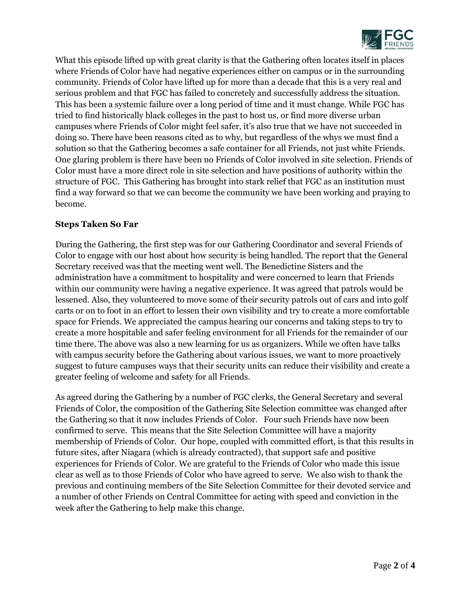

What this episode lifted up with great clarity is that the Gathering often locates itself in places where Friends of Color have had negative experiences either on campus or in the surrounding community. Friends of Color have lifted up for more than a decade that this is a very real and serious problem and that FGC has failed to concretely and successfully address the situation. This has been a systemic failure over a long period of time and it must change. While FGC has tried to find historically black colleges in the past to host us, or find more diverse urban campuses where Friends of Color might feel safer, it's also true that we have not succeeded in doing so. There have been reasons cited as to why, but regardless of the whys we must find a solution so that the Gathering becomes a safe container for all Friends, not just white Friends. One glaring problem is there have been no Friends of Color involved in site selection. Friends of Color must have a more direct role in site selection and have positions of authority within the structure of FGC. This Gathering has brought into stark relief that FGC as an institution must find a way forward so that we can become the community we have been working and praying to become.

### **Steps Taken So Far**

During the Gathering, the first step was for our Gathering Coordinator and several Friends of Color to engage with our host about how security is being handled. The report that the General Secretary received was that the meeting went well. The Benedictine Sisters and the administration have a commitment to hospitality and were concerned to learn that Friends within our community were having a negative experience. It was agreed that patrols would be lessened. Also, they volunteered to move some of their security patrols out of cars and into golf carts or on to foot in an effort to lessen their own visibility and try to create a more comfortable space for Friends. We appreciated the campus hearing our concerns and taking steps to try to create a more hospitable and safer feeling environment for all Friends for the remainder of our time there. The above was also a new learning for us as organizers. While we often have talks with campus security before the Gathering about various issues, we want to more proactively suggest to future campuses ways that their security units can reduce their visibility and create a greater feeling of welcome and safety for all Friends.

As agreed during the Gathering by a number of FGC clerks, the General Secretary and several Friends of Color, the composition of the Gathering Site Selection committee was changed after the Gathering so that it now includes Friends of Color. Four such Friends have now been confirmed to serve. This means that the Site Selection Committee will have a majority membership of Friends of Color. Our hope, coupled with committed effort, is that this results in future sites, after Niagara (which is already contracted), that support safe and positive experiences for Friends of Color. We are grateful to the Friends of Color who made this issue clear as well as to those Friends of Color who have agreed to serve. We also wish to thank the previous and continuing members of the Site Selection Committee for their devoted service and a number of other Friends on Central Committee for acting with speed and conviction in the week after the Gathering to help make this change.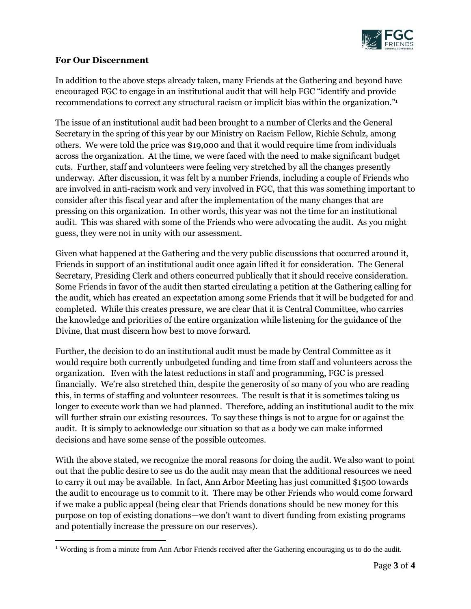

#### **For Our Discernment**

 $\overline{a}$ 

In addition to the above steps already taken, many Friends at the Gathering and beyond have encouraged FGC to engage in an institutional audit that will help FGC "identify and provide recommendations to correct any structural racism or implicit bias within the organization."<sup>1</sup>

The issue of an institutional audit had been brought to a number of Clerks and the General Secretary in the spring of this year by our Ministry on Racism Fellow, Richie Schulz, among others. We were told the price was \$19,000 and that it would require time from individuals across the organization. At the time, we were faced with the need to make significant budget cuts. Further, staff and volunteers were feeling very stretched by all the changes presently underway. After discussion, it was felt by a number Friends, including a couple of Friends who are involved in anti-racism work and very involved in FGC, that this was something important to consider after this fiscal year and after the implementation of the many changes that are pressing on this organization. In other words, this year was not the time for an institutional audit. This was shared with some of the Friends who were advocating the audit. As you might guess, they were not in unity with our assessment.

Given what happened at the Gathering and the very public discussions that occurred around it, Friends in support of an institutional audit once again lifted it for consideration. The General Secretary, Presiding Clerk and others concurred publically that it should receive consideration. Some Friends in favor of the audit then started circulating a petition at the Gathering calling for the audit, which has created an expectation among some Friends that it will be budgeted for and completed. While this creates pressure, we are clear that it is Central Committee, who carries the knowledge and priorities of the entire organization while listening for the guidance of the Divine, that must discern how best to move forward.

Further, the decision to do an institutional audit must be made by Central Committee as it would require both currently unbudgeted funding and time from staff and volunteers across the organization. Even with the latest reductions in staff and programming, FGC is pressed financially. We're also stretched thin, despite the generosity of so many of you who are reading this, in terms of staffing and volunteer resources. The result is that it is sometimes taking us longer to execute work than we had planned. Therefore, adding an institutional audit to the mix will further strain our existing resources. To say these things is not to argue for or against the audit. It is simply to acknowledge our situation so that as a body we can make informed decisions and have some sense of the possible outcomes.

With the above stated, we recognize the moral reasons for doing the audit. We also want to point out that the public desire to see us do the audit may mean that the additional resources we need to carry it out may be available. In fact, Ann Arbor Meeting has just committed \$1500 towards the audit to encourage us to commit to it. There may be other Friends who would come forward if we make a public appeal (being clear that Friends donations should be new money for this purpose on top of existing donations—we don't want to divert funding from existing programs and potentially increase the pressure on our reserves).

<sup>&</sup>lt;sup>1</sup> Wording is from a minute from Ann Arbor Friends received after the Gathering encouraging us to do the audit.